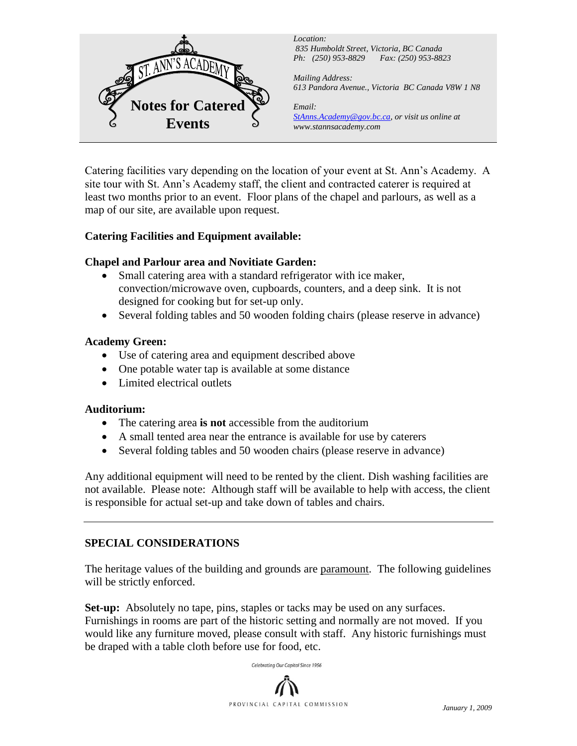

*Location: 835 Humboldt Street, Victoria, BC Canada Ph: (250) 953-8829 Fax: (250) 953-8823*

*Mailing Address: 613 Pandora Avenue., Victoria BC Canada V8W 1 N8*

*Email: StAnns.Academy@gov.bc.ca, or visit us online at www.stannsacademy.com*

Catering facilities vary depending on the location of your event at St. Ann's Academy. A site tour with St. Ann's Academy staff, the client and contracted caterer is required at least two months prior to an event. Floor plans of the chapel and parlours, as well as a map of our site, are available upon request.

# **Catering Facilities and Equipment available:**

# **Chapel and Parlour area and Novitiate Garden:**

- Small catering area with a standard refrigerator with ice maker, convection/microwave oven, cupboards, counters, and a deep sink. It is not designed for cooking but for set-up only.
- Several folding tables and 50 wooden folding chairs (please reserve in advance)

# **Academy Green:**

- Use of catering area and equipment described above
- One potable water tap is available at some distance
- Limited electrical outlets

### **Auditorium:**

- The catering area **is not** accessible from the auditorium
- A small tented area near the entrance is available for use by caterers
- Several folding tables and 50 wooden chairs (please reserve in advance)

Any additional equipment will need to be rented by the client. Dish washing facilities are not available. Please note: Although staff will be available to help with access, the client is responsible for actual set-up and take down of tables and chairs.

# **SPECIAL CONSIDERATIONS**

The heritage values of the building and grounds are paramount. The following guidelines will be strictly enforced.

**Set-up:** Absolutely no tape, pins, staples or tacks may be used on any surfaces. Furnishings in rooms are part of the historic setting and normally are not moved. If you would like any furniture moved, please consult with staff. Any historic furnishings must be draped with a table cloth before use for food, etc.



Celebrating Our Capital Since 1956